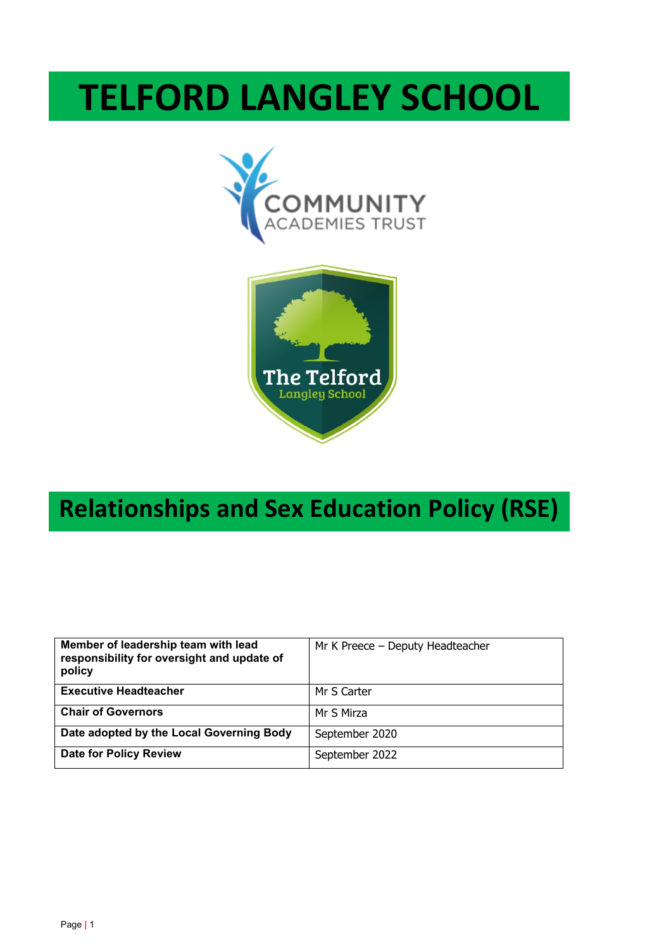# **TELFORD LANGLEY SCHOOL**





# **Relationships and Sex Education Policy (RSE)**

| Member of leadership team with lead<br>responsibility for oversight and update of<br>policy | Mr K Preece - Deputy Headteacher |
|---------------------------------------------------------------------------------------------|----------------------------------|
| <b>Executive Headteacher</b>                                                                | Mr S Carter                      |
| <b>Chair of Governors</b>                                                                   | Mr S Mirza                       |
| Date adopted by the Local Governing Body                                                    | September 2020                   |
| <b>Date for Policy Review</b>                                                               | September 2022                   |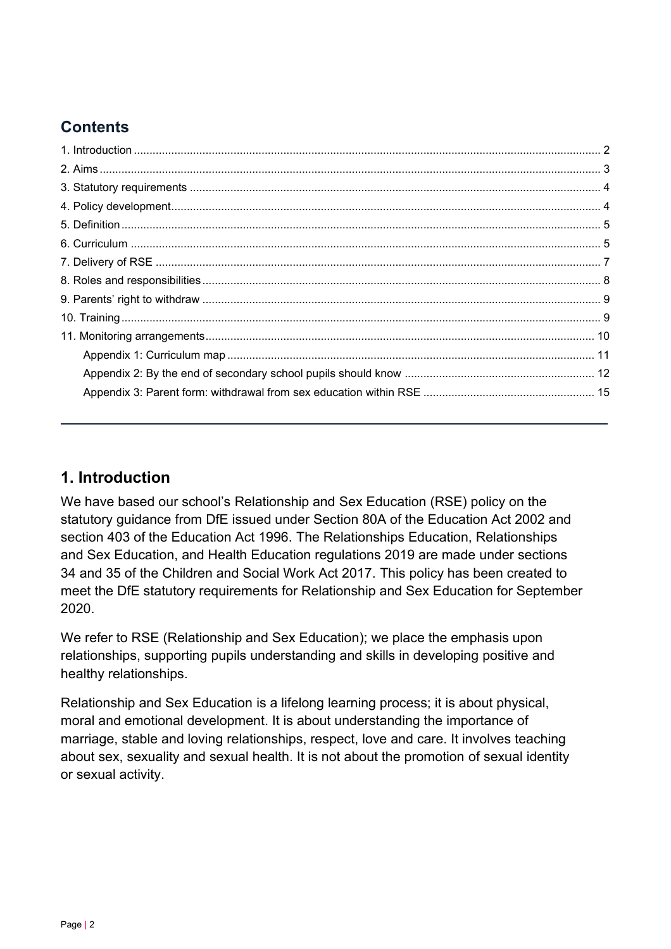# **Contents**

# <span id="page-1-0"></span>**1. Introduction**

We have based our school's Relationship and Sex Education (RSE) policy on the statutory guidance from DfE issued under Section 80A of the Education Act 2002 and section 403 of the Education Act 1996. The Relationships Education, Relationships and Sex Education, and Health Education regulations 2019 are made under sections 34 and 35 of the Children and Social Work Act 2017. This policy has been created to meet the DfE statutory requirements for Relationship and Sex Education for September 2020.

We refer to RSE (Relationship and Sex Education); we place the emphasis upon relationships, supporting pupils understanding and skills in developing positive and healthy relationships.

<span id="page-1-1"></span>Relationship and Sex Education is a lifelong learning process; it is about physical, moral and emotional development. It is about understanding the importance of marriage, stable and loving relationships, respect, love and care. It involves teaching about sex, sexuality and sexual health. It is not about the promotion of sexual identity or sexual activity.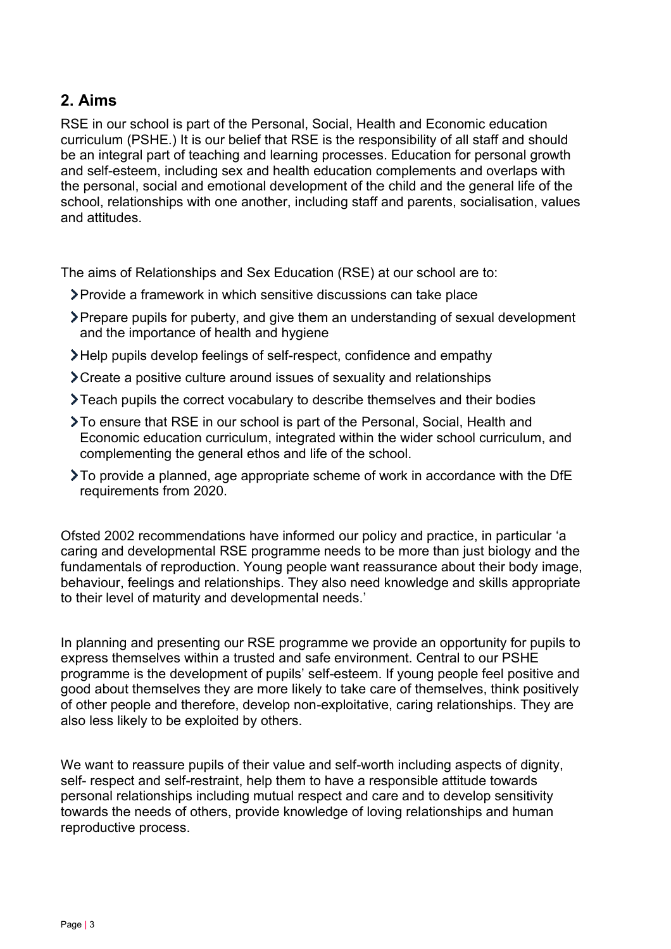# **2. Aims**

RSE in our school is part of the Personal, Social, Health and Economic education curriculum (PSHE.) It is our belief that RSE is the responsibility of all staff and should be an integral part of teaching and learning processes. Education for personal growth and self-esteem, including sex and health education complements and overlaps with the personal, social and emotional development of the child and the general life of the school, relationships with one another, including staff and parents, socialisation, values and attitudes.

The aims of Relationships and Sex Education (RSE) at our school are to:

- Provide a framework in which sensitive discussions can take place
- Prepare pupils for puberty, and give them an understanding of sexual development and the importance of health and hygiene
- Help pupils develop feelings of self-respect, confidence and empathy
- Create a positive culture around issues of sexuality and relationships
- Teach pupils the correct vocabulary to describe themselves and their bodies
- To ensure that RSE in our school is part of the Personal, Social, Health and Economic education curriculum, integrated within the wider school curriculum, and complementing the general ethos and life of the school.
- To provide a planned, age appropriate scheme of work in accordance with the DfE requirements from 2020.

Ofsted 2002 recommendations have informed our policy and practice, in particular 'a caring and developmental RSE programme needs to be more than just biology and the fundamentals of reproduction. Young people want reassurance about their body image, behaviour, feelings and relationships. They also need knowledge and skills appropriate to their level of maturity and developmental needs.'

In planning and presenting our RSE programme we provide an opportunity for pupils to express themselves within a trusted and safe environment. Central to our PSHE programme is the development of pupils' self-esteem. If young people feel positive and good about themselves they are more likely to take care of themselves, think positively of other people and therefore, develop non-exploitative, caring relationships. They are also less likely to be exploited by others.

We want to reassure pupils of their value and self-worth including aspects of dignity, self- respect and self-restraint, help them to have a responsible attitude towards personal relationships including mutual respect and care and to develop sensitivity towards the needs of others, provide knowledge of loving relationships and human reproductive process.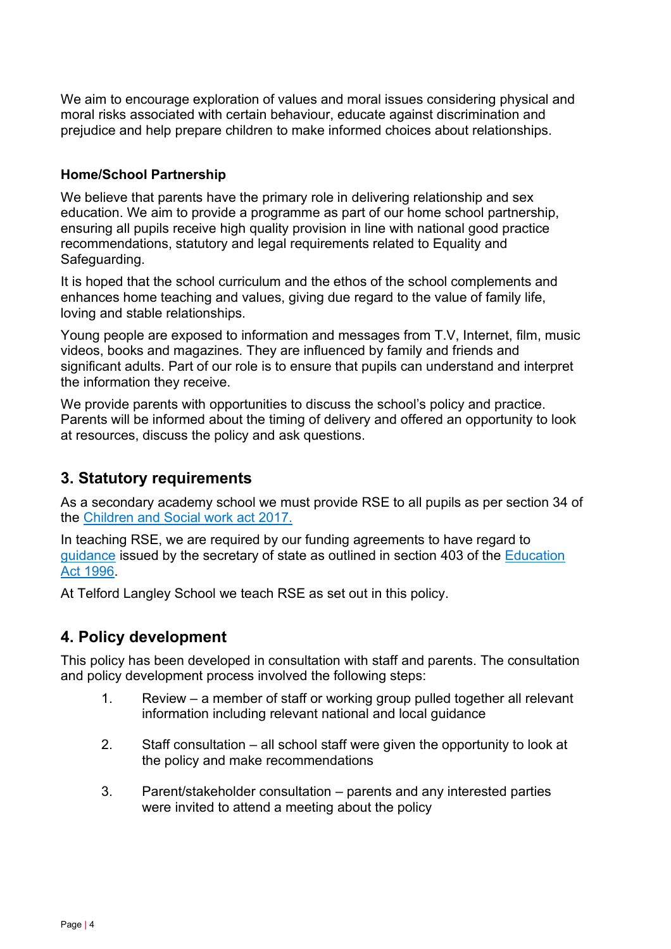We aim to encourage exploration of values and moral issues considering physical and moral risks associated with certain behaviour, educate against discrimination and prejudice and help prepare children to make informed choices about relationships.

#### **Home/School Partnership**

We believe that parents have the primary role in delivering relationship and sex education. We aim to provide a programme as part of our home school partnership, ensuring all pupils receive high quality provision in line with national good practice recommendations, statutory and legal requirements related to Equality and Safeguarding.

It is hoped that the school curriculum and the ethos of the school complements and enhances home teaching and values, giving due regard to the value of family life, loving and stable relationships.

Young people are exposed to information and messages from T.V, Internet, film, music videos, books and magazines. They are influenced by family and friends and significant adults. Part of our role is to ensure that pupils can understand and interpret the information they receive.

We provide parents with opportunities to discuss the school's policy and practice. Parents will be informed about the timing of delivery and offered an opportunity to look at resources, discuss the policy and ask questions.

# <span id="page-3-0"></span>**3. Statutory requirements**

As a secondary academy school we must provide RSE to all pupils as per section 34 of the [Children and Social work act 2017.](http://www.legislation.gov.uk/ukpga/2017/16/section/34/enacted)

In teaching RSE, we are required by our funding agreements to have regard to [guidance](https://www.gov.uk/government/consultations/relationships-and-sex-education-and-health-education) issued by the secretary of state as outlined in section 403 of the [Education](http://www.legislation.gov.uk/ukpga/1996/56/contents)  [Act 1996.](http://www.legislation.gov.uk/ukpga/1996/56/contents)

At Telford Langley School we teach RSE as set out in this policy.

# <span id="page-3-1"></span>**4. Policy development**

This policy has been developed in consultation with staff and parents. The consultation and policy development process involved the following steps:

- 1. Review a member of staff or working group pulled together all relevant information including relevant national and local guidance
- 2. Staff consultation all school staff were given the opportunity to look at the policy and make recommendations
- 3. Parent/stakeholder consultation parents and any interested parties were invited to attend a meeting about the policy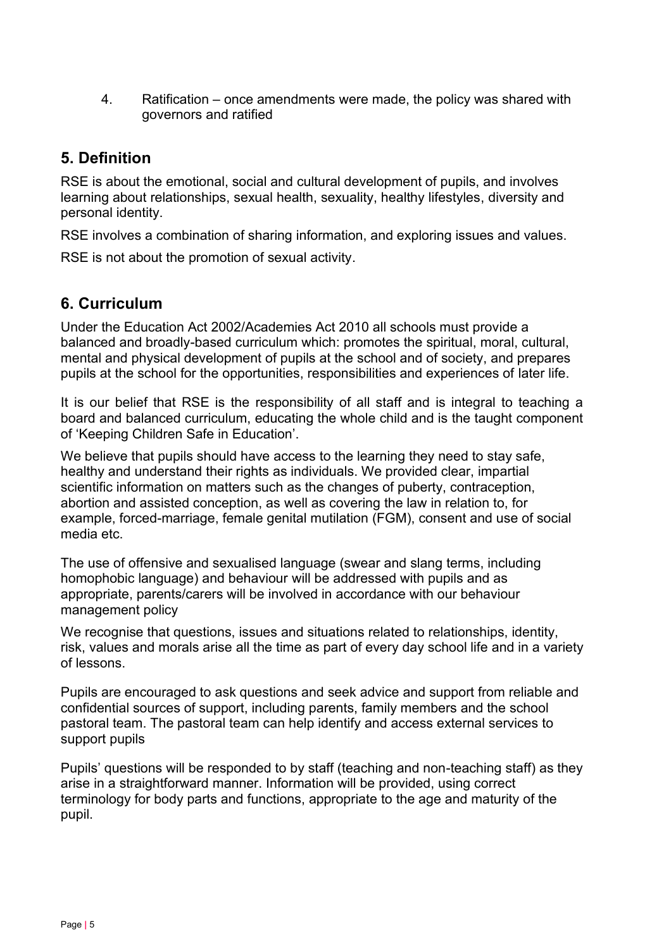4. Ratification – once amendments were made, the policy was shared with governors and ratified

## <span id="page-4-0"></span>**5. Definition**

RSE is about the emotional, social and cultural development of pupils, and involves learning about relationships, sexual health, sexuality, healthy lifestyles, diversity and personal identity.

RSE involves a combination of sharing information, and exploring issues and values.

RSE is not about the promotion of sexual activity.

# <span id="page-4-1"></span>**6. Curriculum**

Under the Education Act 2002/Academies Act 2010 all schools must provide a balanced and broadly-based curriculum which: promotes the spiritual, moral, cultural, mental and physical development of pupils at the school and of society, and prepares pupils at the school for the opportunities, responsibilities and experiences of later life.

It is our belief that RSE is the responsibility of all staff and is integral to teaching a board and balanced curriculum, educating the whole child and is the taught component of 'Keeping Children Safe in Education'.

We believe that pupils should have access to the learning they need to stay safe, healthy and understand their rights as individuals. We provided clear, impartial scientific information on matters such as the changes of puberty, contraception, abortion and assisted conception, as well as covering the law in relation to, for example, forced-marriage, female genital mutilation (FGM), consent and use of social media etc.

The use of offensive and sexualised language (swear and slang terms, including homophobic language) and behaviour will be addressed with pupils and as appropriate, parents/carers will be involved in accordance with our behaviour management policy

We recognise that questions, issues and situations related to relationships, identity, risk, values and morals arise all the time as part of every day school life and in a variety of lessons.

Pupils are encouraged to ask questions and seek advice and support from reliable and confidential sources of support, including parents, family members and the school pastoral team. The pastoral team can help identify and access external services to support pupils

Pupils' questions will be responded to by staff (teaching and non-teaching staff) as they arise in a straightforward manner. Information will be provided, using correct terminology for body parts and functions, appropriate to the age and maturity of the pupil.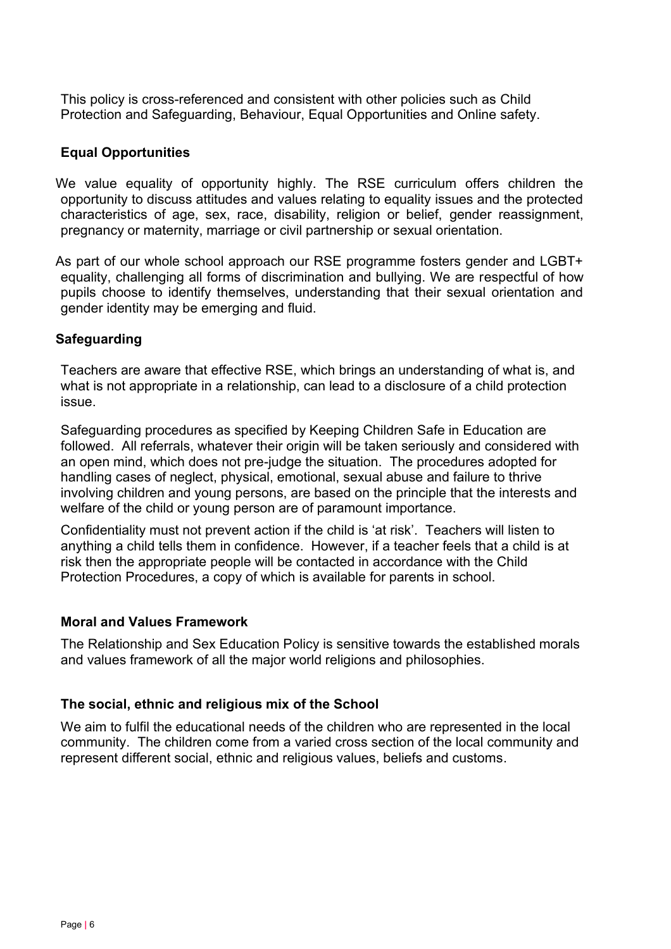This policy is cross-referenced and consistent with other policies such as Child Protection and Safeguarding, Behaviour, Equal Opportunities and Online safety.

#### **Equal Opportunities**

We value equality of opportunity highly. The RSE curriculum offers children the opportunity to discuss attitudes and values relating to equality issues and the protected characteristics of age, sex, race, disability, religion or belief, gender reassignment, pregnancy or maternity, marriage or civil partnership or sexual orientation.

 As part of our whole school approach our RSE programme fosters gender and LGBT+ equality, challenging all forms of discrimination and bullying. We are respectful of how pupils choose to identify themselves, understanding that their sexual orientation and gender identity may be emerging and fluid.

#### **Safeguarding**

Teachers are aware that effective RSE, which brings an understanding of what is, and what is not appropriate in a relationship, can lead to a disclosure of a child protection issue.

Safeguarding procedures as specified by Keeping Children Safe in Education are followed. All referrals, whatever their origin will be taken seriously and considered with an open mind, which does not pre-judge the situation. The procedures adopted for handling cases of neglect, physical, emotional, sexual abuse and failure to thrive involving children and young persons, are based on the principle that the interests and welfare of the child or young person are of paramount importance.

Confidentiality must not prevent action if the child is 'at risk'. Teachers will listen to anything a child tells them in confidence. However, if a teacher feels that a child is at risk then the appropriate people will be contacted in accordance with the Child Protection Procedures, a copy of which is available for parents in school.

#### **Moral and Values Framework**

The Relationship and Sex Education Policy is sensitive towards the established morals and values framework of all the major world religions and philosophies.

#### **The social, ethnic and religious mix of the School**

We aim to fulfil the educational needs of the children who are represented in the local community. The children come from a varied cross section of the local community and represent different social, ethnic and religious values, beliefs and customs.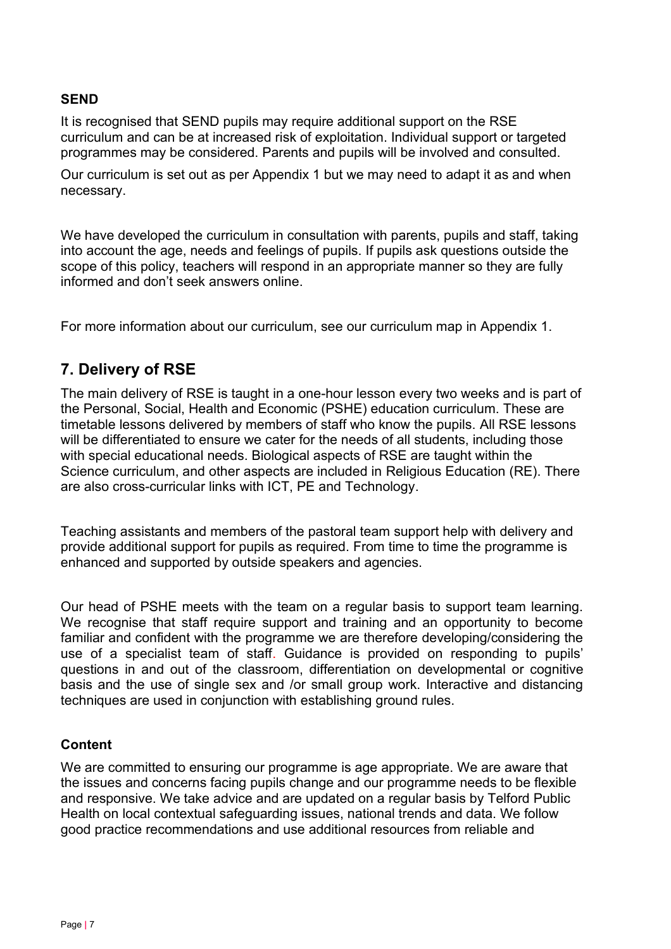#### **SEND**

It is recognised that SEND pupils may require additional support on the RSE curriculum and can be at increased risk of exploitation. Individual support or targeted programmes may be considered. Parents and pupils will be involved and consulted.

Our curriculum is set out as per Appendix 1 but we may need to adapt it as and when necessary.

We have developed the curriculum in consultation with parents, pupils and staff, taking into account the age, needs and feelings of pupils. If pupils ask questions outside the scope of this policy, teachers will respond in an appropriate manner so they are fully informed and don't seek answers online.

For more information about our curriculum, see our curriculum map in Appendix 1.

# <span id="page-6-0"></span>**7. Delivery of RSE**

The main delivery of RSE is taught in a one-hour lesson every two weeks and is part of the Personal, Social, Health and Economic (PSHE) education curriculum. These are timetable lessons delivered by members of staff who know the pupils. All RSE lessons will be differentiated to ensure we cater for the needs of all students, including those with special educational needs. Biological aspects of RSE are taught within the Science curriculum, and other aspects are included in Religious Education (RE). There are also cross-curricular links with ICT, PE and Technology.

Teaching assistants and members of the pastoral team support help with delivery and provide additional support for pupils as required. From time to time the programme is enhanced and supported by outside speakers and agencies.

Our head of PSHE meets with the team on a regular basis to support team learning. We recognise that staff require support and training and an opportunity to become familiar and confident with the programme we are therefore developing/considering the use of a specialist team of staff. Guidance is provided on responding to pupils' questions in and out of the classroom, differentiation on developmental or cognitive basis and the use of single sex and /or small group work. Interactive and distancing techniques are used in conjunction with establishing ground rules.

#### **Content**

We are committed to ensuring our programme is age appropriate. We are aware that the issues and concerns facing pupils change and our programme needs to be flexible and responsive. We take advice and are updated on a regular basis by Telford Public Health on local contextual safeguarding issues, national trends and data. We follow good practice recommendations and use additional resources from reliable and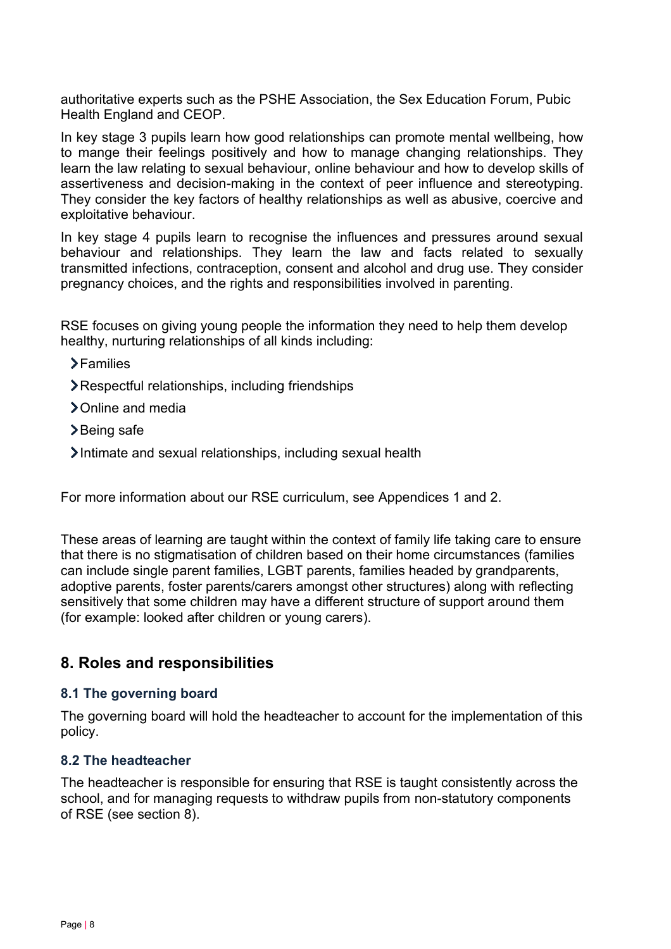authoritative experts such as the PSHE Association, the Sex Education Forum, Pubic Health England and CEOP.

In key stage 3 pupils learn how good relationships can promote mental wellbeing, how to mange their feelings positively and how to manage changing relationships. They learn the law relating to sexual behaviour, online behaviour and how to develop skills of assertiveness and decision-making in the context of peer influence and stereotyping. They consider the key factors of healthy relationships as well as abusive, coercive and exploitative behaviour.

In key stage 4 pupils learn to recognise the influences and pressures around sexual behaviour and relationships. They learn the law and facts related to sexually transmitted infections, contraception, consent and alcohol and drug use. They consider pregnancy choices, and the rights and responsibilities involved in parenting.

RSE focuses on giving young people the information they need to help them develop healthy, nurturing relationships of all kinds including:

- **>Families**
- Respectful relationships, including friendships
- > Online and media
- **>Being safe**
- Intimate and sexual relationships, including sexual health

For more information about our RSE curriculum, see Appendices 1 and 2.

These areas of learning are taught within the context of family life taking care to ensure that there is no stigmatisation of children based on their home circumstances (families can include single parent families, LGBT parents, families headed by grandparents, adoptive parents, foster parents/carers amongst other structures) along with reflecting sensitively that some children may have a different structure of support around them (for example: looked after children or young carers).

#### <span id="page-7-0"></span>**8. Roles and responsibilities**

#### **8.1 The governing board**

The governing board will hold the headteacher to account for the implementation of this policy.

#### **8.2 The headteacher**

The headteacher is responsible for ensuring that RSE is taught consistently across the school, and for managing requests to withdraw pupils from non-statutory components of RSE (see section 8).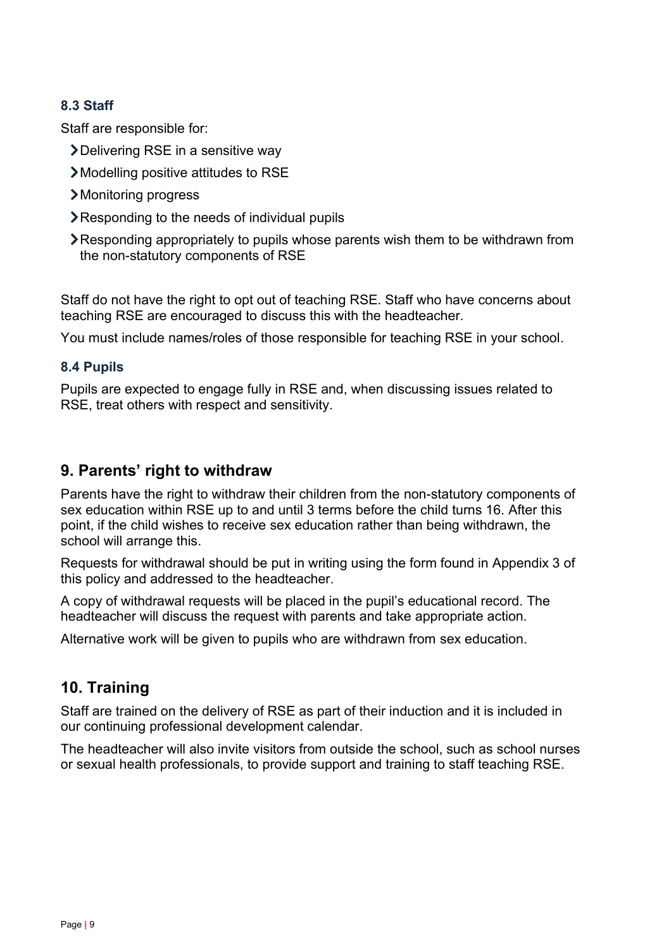#### **8.3 Staff**

Staff are responsible for:

- Delivering RSE in a sensitive way
- Modelling positive attitudes to RSE
- Monitoring progress
- Responding to the needs of individual pupils
- Responding appropriately to pupils whose parents wish them to be withdrawn from the non-statutory components of RSE

Staff do not have the right to opt out of teaching RSE. Staff who have concerns about teaching RSE are encouraged to discuss this with the headteacher.

You must include names/roles of those responsible for teaching RSE in your school.

#### **8.4 Pupils**

Pupils are expected to engage fully in RSE and, when discussing issues related to RSE, treat others with respect and sensitivity.

## <span id="page-8-0"></span>**9. Parents' right to withdraw**

Parents have the right to withdraw their children from the non-statutory components of sex education within RSE up to and until 3 terms before the child turns 16. After this point, if the child wishes to receive sex education rather than being withdrawn, the school will arrange this.

Requests for withdrawal should be put in writing using the form found in Appendix 3 of this policy and addressed to the headteacher.

A copy of withdrawal requests will be placed in the pupil's educational record. The headteacher will discuss the request with parents and take appropriate action.

Alternative work will be given to pupils who are withdrawn from sex education.

# <span id="page-8-1"></span>**10. Training**

Staff are trained on the delivery of RSE as part of their induction and it is included in our continuing professional development calendar.

<span id="page-8-2"></span>The headteacher will also invite visitors from outside the school, such as school nurses or sexual health professionals, to provide support and training to staff teaching RSE.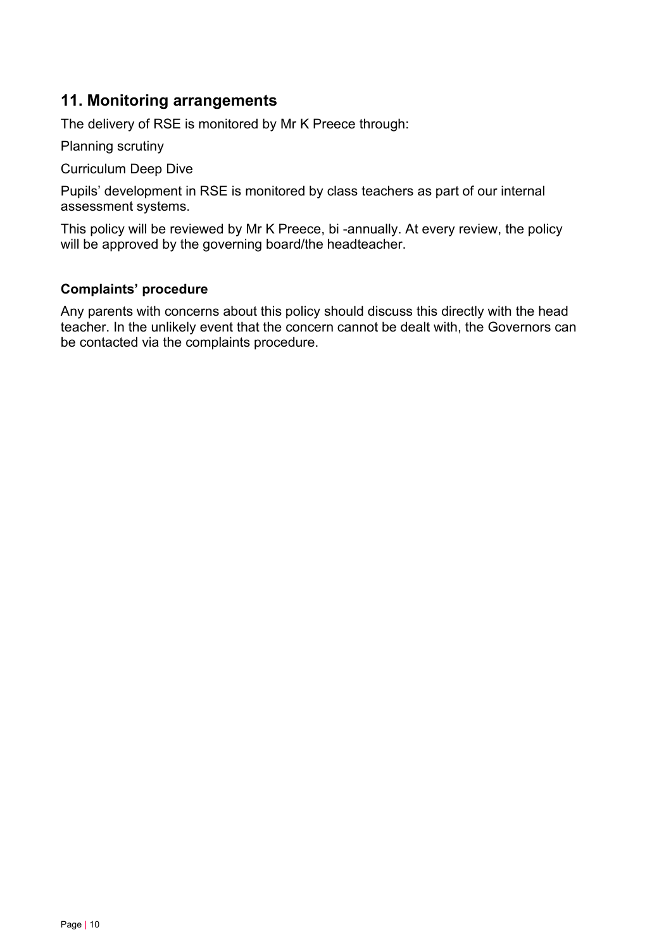# **11. Monitoring arrangements**

The delivery of RSE is monitored by Mr K Preece through:

Planning scrutiny

Curriculum Deep Dive

Pupils' development in RSE is monitored by class teachers as part of our internal assessment systems.

This policy will be reviewed by Mr K Preece, bi -annually. At every review, the policy will be approved by the governing board/the headteacher.

#### **Complaints' procedure**

Any parents with concerns about this policy should discuss this directly with the head teacher. In the unlikely event that the concern cannot be dealt with, the Governors can be contacted via the complaints procedure.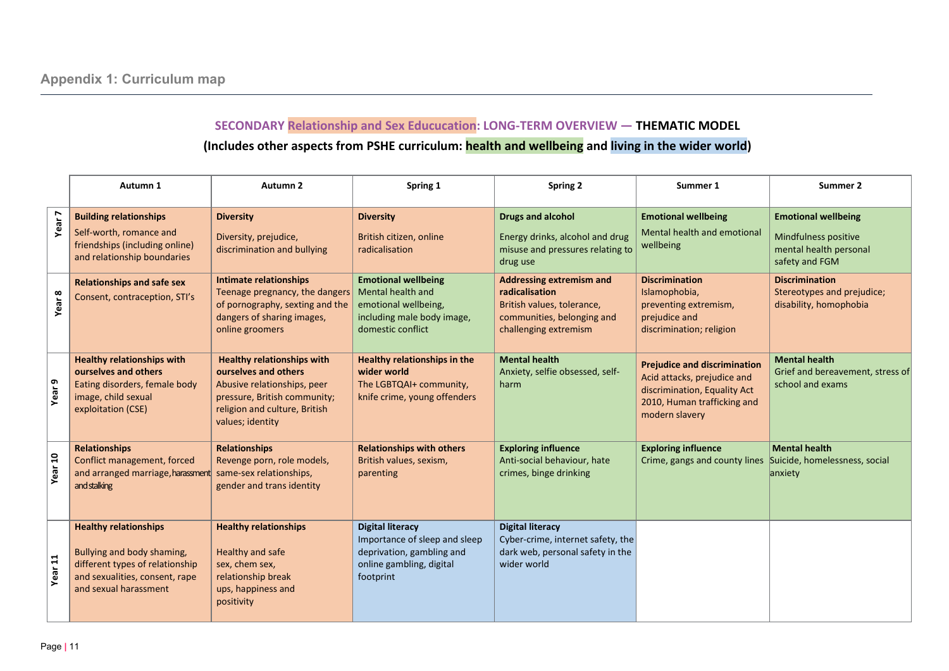# **SECONDARY Relationship and Sex Educucation: LONG-TERM OVERVIEW — THEMATIC MODEL (Includes other aspects from PSHE curriculum: health and wellbeing and living in the wider world)**

<span id="page-10-0"></span>

|                    | Autumn 1                                                                                                                                                 | Autumn <sub>2</sub>                                                                                                                                                           | Spring 1                                                                                                                       | <b>Spring 2</b>                                                                                                                        | Summer 1                                                                                                                                            | Summer 2                                                                                       |
|--------------------|----------------------------------------------------------------------------------------------------------------------------------------------------------|-------------------------------------------------------------------------------------------------------------------------------------------------------------------------------|--------------------------------------------------------------------------------------------------------------------------------|----------------------------------------------------------------------------------------------------------------------------------------|-----------------------------------------------------------------------------------------------------------------------------------------------------|------------------------------------------------------------------------------------------------|
| Year <sup>-</sup>  | <b>Building relationships</b><br>Self-worth, romance and<br>friendships (including online)<br>and relationship boundaries                                | <b>Diversity</b><br>Diversity, prejudice,<br>discrimination and bullying                                                                                                      | <b>Diversity</b><br>British citizen, online<br>radicalisation                                                                  | <b>Drugs and alcohol</b><br>Energy drinks, alcohol and drug<br>misuse and pressures relating to<br>drug use                            | <b>Emotional wellbeing</b><br>Mental health and emotional<br>wellbeing                                                                              | <b>Emotional wellbeing</b><br>Mindfulness positive<br>mental health personal<br>safety and FGM |
| Year 8             | <b>Relationships and safe sex</b><br>Consent, contraception, STI's                                                                                       | <b>Intimate relationships</b><br>Teenage pregnancy, the dangers<br>of pornography, sexting and the<br>dangers of sharing images,<br>online groomers                           | <b>Emotional wellbeing</b><br>Mental health and<br>emotional wellbeing,<br>including male body image,<br>domestic conflict     | <b>Addressing extremism and</b><br>radicalisation<br>British values, tolerance,<br>communities, belonging and<br>challenging extremism | <b>Discrimination</b><br>Islamophobia,<br>preventing extremism,<br>prejudice and<br>discrimination; religion                                        | <b>Discrimination</b><br>Stereotypes and prejudice;<br>disability, homophobia                  |
| ∣െ<br>Year         | <b>Healthy relationships with</b><br>ourselves and others<br>Eating disorders, female body<br>image, child sexual<br>exploitation (CSE)                  | <b>Healthy relationships with</b><br>ourselves and others<br>Abusive relationships, peer<br>pressure, British community;<br>religion and culture, British<br>values; identity | Healthy relationships in the<br>wider world<br>The LGBTQAI+ community,<br>knife crime, young offenders                         | <b>Mental health</b><br>Anxiety, selfie obsessed, self-<br>harm                                                                        | <b>Prejudice and discrimination</b><br>Acid attacks, prejudice and<br>discrimination, Equality Act<br>2010, Human trafficking and<br>modern slavery | <b>Mental health</b><br>Grief and bereavement, stress of<br>school and exams                   |
| Year 10            | <b>Relationships</b><br>Conflict management, forced<br>and arranged marriage, harassment<br>and stalking                                                 | <b>Relationships</b><br>Revenge porn, role models,<br>same-sex relationships,<br>gender and trans identity                                                                    | <b>Relationships with others</b><br>British values, sexism,<br>parenting                                                       | <b>Exploring influence</b><br>Anti-social behaviour, hate<br>crimes, binge drinking                                                    | <b>Exploring influence</b><br>Crime, gangs and county lines                                                                                         | <b>Mental health</b><br>Suicide, homelessness, social<br>anxiety                               |
| Year <sub>11</sub> | <b>Healthy relationships</b><br>Bullying and body shaming,<br>different types of relationship<br>and sexualities, consent, rape<br>and sexual harassment | <b>Healthy relationships</b><br>Healthy and safe<br>sex, chem sex,<br>relationship break<br>ups, happiness and<br>positivity                                                  | <b>Digital literacy</b><br>Importance of sleep and sleep<br>deprivation, gambling and<br>online gambling, digital<br>footprint | <b>Digital literacy</b><br>Cyber-crime, internet safety, the<br>dark web, personal safety in the<br>wider world                        |                                                                                                                                                     |                                                                                                |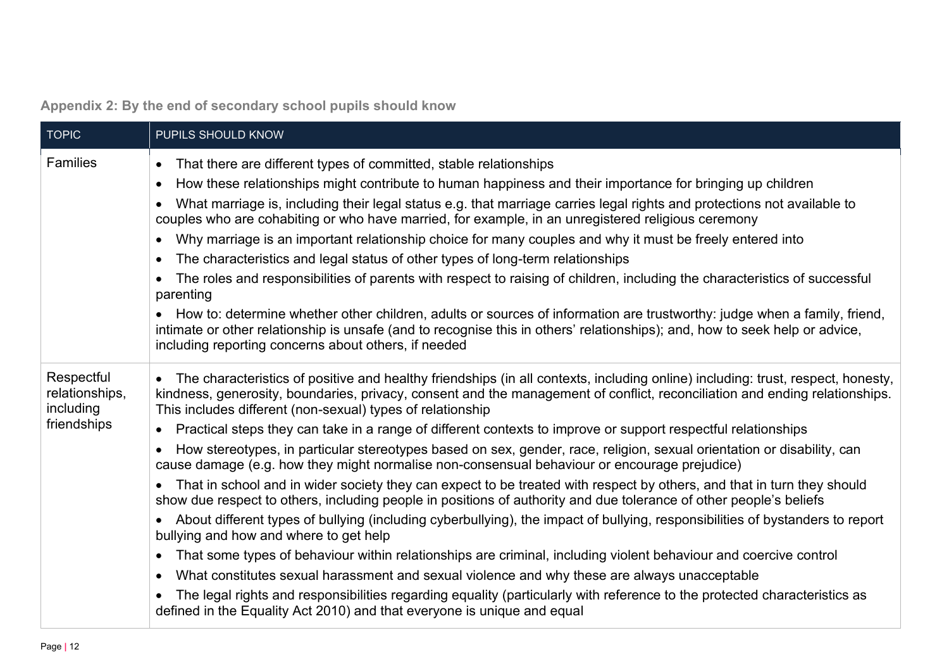|  | Appendix 2: By the end of secondary school pupils should know |  |  |
|--|---------------------------------------------------------------|--|--|
|  |                                                               |  |  |

<span id="page-11-0"></span>

| <b>TOPIC</b>                                             | PUPILS SHOULD KNOW                                                                                                                                                                                                                                                                                                                                                                                                                                                                                                                                                                                                                                                                                                                                                                                                                                                                                                                                                                                                                                                                                                                                                                                                                                                                                                                                                                                                                                                                                                                                                                              |
|----------------------------------------------------------|-------------------------------------------------------------------------------------------------------------------------------------------------------------------------------------------------------------------------------------------------------------------------------------------------------------------------------------------------------------------------------------------------------------------------------------------------------------------------------------------------------------------------------------------------------------------------------------------------------------------------------------------------------------------------------------------------------------------------------------------------------------------------------------------------------------------------------------------------------------------------------------------------------------------------------------------------------------------------------------------------------------------------------------------------------------------------------------------------------------------------------------------------------------------------------------------------------------------------------------------------------------------------------------------------------------------------------------------------------------------------------------------------------------------------------------------------------------------------------------------------------------------------------------------------------------------------------------------------|
| <b>Families</b>                                          | That there are different types of committed, stable relationships<br>$\bullet$<br>How these relationships might contribute to human happiness and their importance for bringing up children<br>$\bullet$<br>What marriage is, including their legal status e.g. that marriage carries legal rights and protections not available to<br>couples who are cohabiting or who have married, for example, in an unregistered religious ceremony<br>Why marriage is an important relationship choice for many couples and why it must be freely entered into<br>$\bullet$<br>The characteristics and legal status of other types of long-term relationships<br>$\bullet$<br>The roles and responsibilities of parents with respect to raising of children, including the characteristics of successful<br>parenting<br>How to: determine whether other children, adults or sources of information are trustworthy: judge when a family, friend,<br>intimate or other relationship is unsafe (and to recognise this in others' relationships); and, how to seek help or advice,<br>including reporting concerns about others, if needed                                                                                                                                                                                                                                                                                                                                                                                                                                                                 |
| Respectful<br>relationships,<br>including<br>friendships | The characteristics of positive and healthy friendships (in all contexts, including online) including: trust, respect, honesty,<br>kindness, generosity, boundaries, privacy, consent and the management of conflict, reconciliation and ending relationships.<br>This includes different (non-sexual) types of relationship<br>Practical steps they can take in a range of different contexts to improve or support respectful relationships<br>$\bullet$<br>How stereotypes, in particular stereotypes based on sex, gender, race, religion, sexual orientation or disability, can<br>$\bullet$<br>cause damage (e.g. how they might normalise non-consensual behaviour or encourage prejudice)<br>That in school and in wider society they can expect to be treated with respect by others, and that in turn they should<br>show due respect to others, including people in positions of authority and due tolerance of other people's beliefs<br>About different types of bullying (including cyberbullying), the impact of bullying, responsibilities of bystanders to report<br>bullying and how and where to get help<br>That some types of behaviour within relationships are criminal, including violent behaviour and coercive control<br>$\bullet$<br>What constitutes sexual harassment and sexual violence and why these are always unacceptable<br>$\bullet$<br>The legal rights and responsibilities regarding equality (particularly with reference to the protected characteristics as<br>$\bullet$<br>defined in the Equality Act 2010) and that everyone is unique and equal |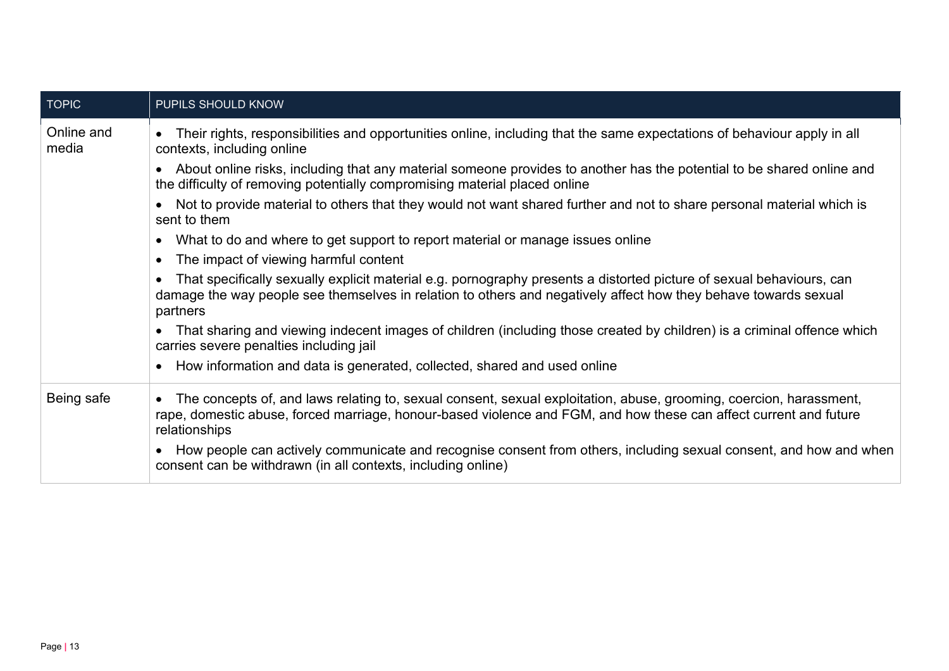| <b>TOPIC</b>        | PUPILS SHOULD KNOW                                                                                                                                                                                                                                       |
|---------------------|----------------------------------------------------------------------------------------------------------------------------------------------------------------------------------------------------------------------------------------------------------|
| Online and<br>media | Their rights, responsibilities and opportunities online, including that the same expectations of behaviour apply in all<br>contexts, including online                                                                                                    |
|                     | About online risks, including that any material someone provides to another has the potential to be shared online and<br>the difficulty of removing potentially compromising material placed online                                                      |
|                     | Not to provide material to others that they would not want shared further and not to share personal material which is<br>sent to them                                                                                                                    |
|                     | What to do and where to get support to report material or manage issues online                                                                                                                                                                           |
|                     | The impact of viewing harmful content                                                                                                                                                                                                                    |
|                     | That specifically sexually explicit material e.g. pornography presents a distorted picture of sexual behaviours, can<br>damage the way people see themselves in relation to others and negatively affect how they behave towards sexual<br>partners      |
|                     | That sharing and viewing indecent images of children (including those created by children) is a criminal offence which<br>carries severe penalties including jail                                                                                        |
|                     | How information and data is generated, collected, shared and used online                                                                                                                                                                                 |
| Being safe          | The concepts of, and laws relating to, sexual consent, sexual exploitation, abuse, grooming, coercion, harassment,<br>rape, domestic abuse, forced marriage, honour-based violence and FGM, and how these can affect current and future<br>relationships |
|                     | How people can actively communicate and recognise consent from others, including sexual consent, and how and when<br>consent can be withdrawn (in all contexts, including online)                                                                        |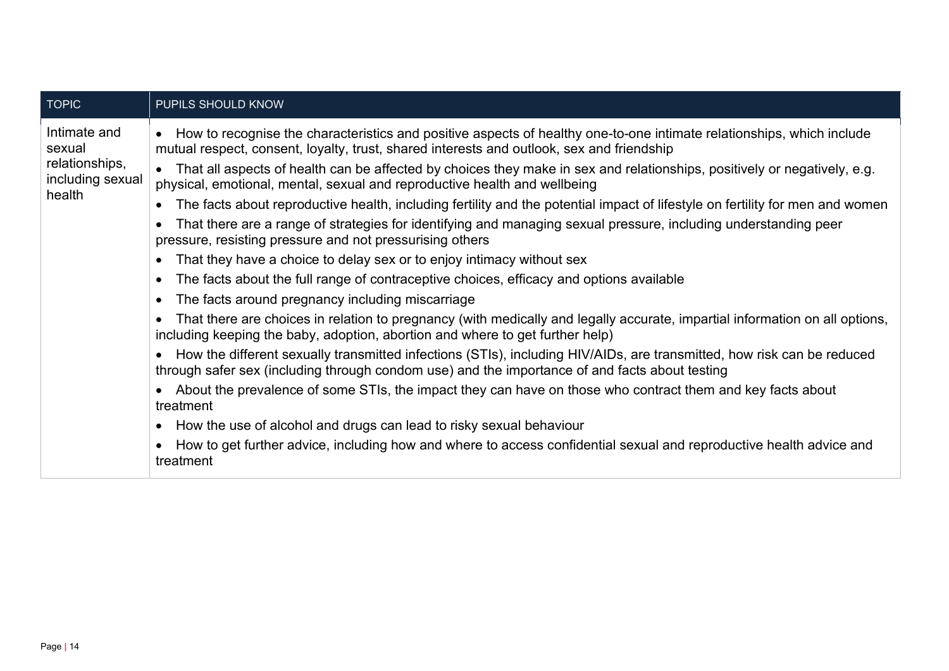| <b>TOPIC</b>                                                 | PUPILS SHOULD KNOW                                                                                                                                                                                                       |
|--------------------------------------------------------------|--------------------------------------------------------------------------------------------------------------------------------------------------------------------------------------------------------------------------|
| Intimate and<br>sexual<br>relationships,<br>including sexual | How to recognise the characteristics and positive aspects of healthy one-to-one intimate relationships, which include<br>mutual respect, consent, loyalty, trust, shared interests and outlook, sex and friendship       |
|                                                              | That all aspects of health can be affected by choices they make in sex and relationships, positively or negatively, e.g.<br>physical, emotional, mental, sexual and reproductive health and wellbeing                    |
| health                                                       | The facts about reproductive health, including fertility and the potential impact of lifestyle on fertility for men and women                                                                                            |
|                                                              | That there are a range of strategies for identifying and managing sexual pressure, including understanding peer<br>pressure, resisting pressure and not pressurising others                                              |
|                                                              | That they have a choice to delay sex or to enjoy intimacy without sex                                                                                                                                                    |
|                                                              | The facts about the full range of contraceptive choices, efficacy and options available                                                                                                                                  |
|                                                              | The facts around pregnancy including miscarriage                                                                                                                                                                         |
|                                                              | That there are choices in relation to pregnancy (with medically and legally accurate, impartial information on all options,<br>including keeping the baby, adoption, abortion and where to get further help)             |
|                                                              | How the different sexually transmitted infections (STIs), including HIV/AIDs, are transmitted, how risk can be reduced<br>through safer sex (including through condom use) and the importance of and facts about testing |
|                                                              | About the prevalence of some STIs, the impact they can have on those who contract them and key facts about<br>treatment                                                                                                  |
|                                                              | How the use of alcohol and drugs can lead to risky sexual behaviour                                                                                                                                                      |
|                                                              | How to get further advice, including how and where to access confidential sexual and reproductive health advice and<br>treatment                                                                                         |